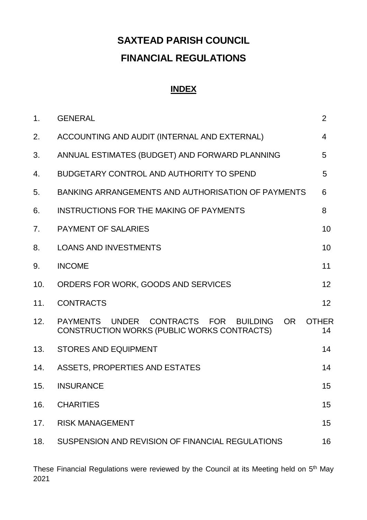# **SAXTEAD PARISH COUNCIL FINANCIAL REGULATIONS**

# **INDEX**

| 1.  | <b>GENERAL</b>                                                                                           | 2                  |
|-----|----------------------------------------------------------------------------------------------------------|--------------------|
| 2.  | ACCOUNTING AND AUDIT (INTERNAL AND EXTERNAL)                                                             | $\overline{4}$     |
| 3.  | ANNUAL ESTIMATES (BUDGET) AND FORWARD PLANNING                                                           | 5                  |
| 4.  | BUDGETARY CONTROL AND AUTHORITY TO SPEND                                                                 | 5                  |
| 5.  | BANKING ARRANGEMENTS AND AUTHORISATION OF PAYMENTS                                                       | 6                  |
| 6.  | <b>INSTRUCTIONS FOR THE MAKING OF PAYMENTS</b>                                                           | 8                  |
| 7.  | <b>PAYMENT OF SALARIES</b>                                                                               | 10 <sup>1</sup>    |
| 8.  | <b>LOANS AND INVESTMENTS</b>                                                                             | 10                 |
| 9.  | <b>INCOME</b>                                                                                            | 11                 |
| 10. | ORDERS FOR WORK, GOODS AND SERVICES                                                                      | 12                 |
| 11. | <b>CONTRACTS</b>                                                                                         | 12 <sup>2</sup>    |
| 12. | PAYMENTS UNDER<br>CONTRACTS FOR<br>OR.<br><b>BUILDING</b><br>CONSTRUCTION WORKS (PUBLIC WORKS CONTRACTS) | <b>OTHER</b><br>14 |
| 13. | <b>STORES AND EQUIPMENT</b>                                                                              | 14                 |
| 14. | ASSETS, PROPERTIES AND ESTATES                                                                           | 14                 |
| 15. | <b>INSURANCE</b>                                                                                         | 15                 |
| 16. | <b>CHARITIES</b>                                                                                         | 15                 |
| 17. | <b>RISK MANAGEMENT</b>                                                                                   | 15                 |
| 18. | SUSPENSION AND REVISION OF FINANCIAL REGULATIONS                                                         | 16                 |

These Financial Regulations were reviewed by the Council at its Meeting held on 5<sup>th</sup> May 2021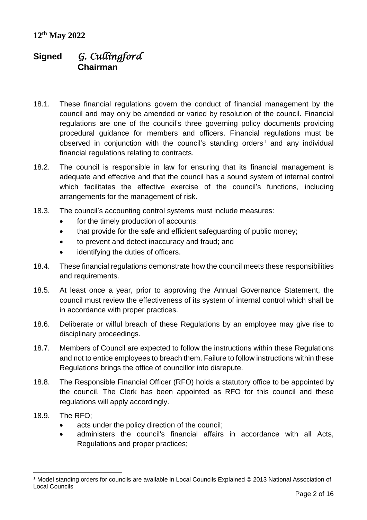# **Signed** *G. Cullingford* **Chairman**

- 18.1. These financial regulations govern the conduct of financial management by the council and may only be amended or varied by resolution of the council. Financial regulations are one of the council's three governing policy documents providing procedural guidance for members and officers. Financial regulations must be observed in conjunction with the council's standing orders<sup>1</sup> and any individual financial regulations relating to contracts.
- 18.2. The council is responsible in law for ensuring that its financial management is adequate and effective and that the council has a sound system of internal control which facilitates the effective exercise of the council's functions, including arrangements for the management of risk.
- 18.3. The council's accounting control systems must include measures:
	- for the timely production of accounts;
	- that provide for the safe and efficient safeguarding of public money;
	- to prevent and detect inaccuracy and fraud; and
	- identifying the duties of officers.
- 18.4. These financial regulations demonstrate how the council meets these responsibilities and requirements.
- 18.5. At least once a year, prior to approving the Annual Governance Statement, the council must review the effectiveness of its system of internal control which shall be in accordance with proper practices.
- 18.6. Deliberate or wilful breach of these Regulations by an employee may give rise to disciplinary proceedings.
- 18.7. Members of Council are expected to follow the instructions within these Regulations and not to entice employees to breach them. Failure to follow instructions within these Regulations brings the office of councillor into disrepute.
- 18.8. The Responsible Financial Officer (RFO) holds a statutory office to be appointed by the council. The Clerk has been appointed as RFO for this council and these regulations will apply accordingly.
- 18.9. The RFO;

 $\overline{a}$ 

- acts under the policy direction of the council;
- administers the council's financial affairs in accordance with all Acts, Regulations and proper practices;

<sup>1</sup> Model standing orders for councils are available in Local Councils Explained © 2013 National Association of Local Councils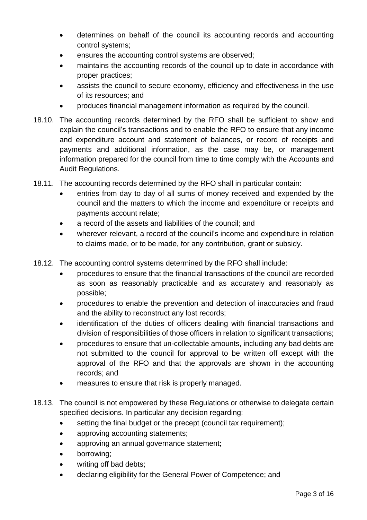- determines on behalf of the council its accounting records and accounting control systems;
- ensures the accounting control systems are observed;
- maintains the accounting records of the council up to date in accordance with proper practices;
- assists the council to secure economy, efficiency and effectiveness in the use of its resources; and
- produces financial management information as required by the council.
- 18.10. The accounting records determined by the RFO shall be sufficient to show and explain the council's transactions and to enable the RFO to ensure that any income and expenditure account and statement of balances, or record of receipts and payments and additional information, as the case may be, or management information prepared for the council from time to time comply with the Accounts and Audit Regulations.
- 18.11. The accounting records determined by the RFO shall in particular contain:
	- entries from day to day of all sums of money received and expended by the council and the matters to which the income and expenditure or receipts and payments account relate;
	- a record of the assets and liabilities of the council; and
	- wherever relevant, a record of the council's income and expenditure in relation to claims made, or to be made, for any contribution, grant or subsidy.
- 18.12. The accounting control systems determined by the RFO shall include:
	- procedures to ensure that the financial transactions of the council are recorded as soon as reasonably practicable and as accurately and reasonably as possible;
	- procedures to enable the prevention and detection of inaccuracies and fraud and the ability to reconstruct any lost records;
	- identification of the duties of officers dealing with financial transactions and division of responsibilities of those officers in relation to significant transactions;
	- procedures to ensure that un-collectable amounts, including any bad debts are not submitted to the council for approval to be written off except with the approval of the RFO and that the approvals are shown in the accounting records; and
	- measures to ensure that risk is properly managed.
- 18.13. The council is not empowered by these Regulations or otherwise to delegate certain specified decisions. In particular any decision regarding:
	- setting the final budget or the precept (council tax requirement);
	- approving accounting statements;
	- approving an annual governance statement;
	- borrowing;
	- writing off bad debts;
	- declaring eligibility for the General Power of Competence; and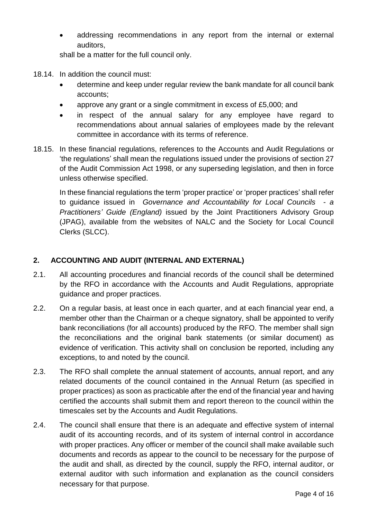addressing recommendations in any report from the internal or external auditors,

shall be a matter for the full council only.

- 18.14. In addition the council must:
	- determine and keep under regular review the bank mandate for all council bank accounts;
	- approve any grant or a single commitment in excess of £5,000; and
	- in respect of the annual salary for any employee have regard to recommendations about annual salaries of employees made by the relevant committee in accordance with its terms of reference.
- 18.15. In these financial regulations, references to the Accounts and Audit Regulations or 'the regulations' shall mean the regulations issued under the provisions of section 27 of the Audit Commission Act 1998, or any superseding legislation, and then in force unless otherwise specified.

In these financial regulations the term 'proper practice' or 'proper practices' shall refer to guidance issued in *Governance and Accountability for Local Councils - a Practitioners' Guide (England)* issued by the Joint Practitioners Advisory Group (JPAG), available from the websites of NALC and the Society for Local Council Clerks (SLCC).

# **2. ACCOUNTING AND AUDIT (INTERNAL AND EXTERNAL)**

- 2.1. All accounting procedures and financial records of the council shall be determined by the RFO in accordance with the Accounts and Audit Regulations, appropriate guidance and proper practices.
- 2.2. On a regular basis, at least once in each quarter, and at each financial year end, a member other than the Chairman or a cheque signatory, shall be appointed to verify bank reconciliations (for all accounts) produced by the RFO. The member shall sign the reconciliations and the original bank statements (or similar document) as evidence of verification. This activity shall on conclusion be reported, including any exceptions, to and noted by the council.
- 2.3. The RFO shall complete the annual statement of accounts, annual report, and any related documents of the council contained in the Annual Return (as specified in proper practices) as soon as practicable after the end of the financial year and having certified the accounts shall submit them and report thereon to the council within the timescales set by the Accounts and Audit Regulations.
- 2.4. The council shall ensure that there is an adequate and effective system of internal audit of its accounting records, and of its system of internal control in accordance with proper practices. Any officer or member of the council shall make available such documents and records as appear to the council to be necessary for the purpose of the audit and shall, as directed by the council, supply the RFO, internal auditor, or external auditor with such information and explanation as the council considers necessary for that purpose.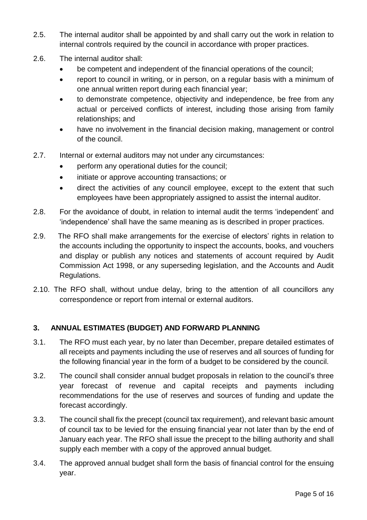- 2.5. The internal auditor shall be appointed by and shall carry out the work in relation to internal controls required by the council in accordance with proper practices.
- 2.6. The internal auditor shall:
	- be competent and independent of the financial operations of the council;
	- report to council in writing, or in person, on a regular basis with a minimum of one annual written report during each financial year;
	- to demonstrate competence, objectivity and independence, be free from any actual or perceived conflicts of interest, including those arising from family relationships; and
	- have no involvement in the financial decision making, management or control of the council.
- 2.7. Internal or external auditors may not under any circumstances:
	- perform any operational duties for the council;
	- initiate or approve accounting transactions; or
	- direct the activities of any council employee, except to the extent that such employees have been appropriately assigned to assist the internal auditor.
- 2.8. For the avoidance of doubt, in relation to internal audit the terms 'independent' and 'independence' shall have the same meaning as is described in proper practices.
- 2.9. The RFO shall make arrangements for the exercise of electors' rights in relation to the accounts including the opportunity to inspect the accounts, books, and vouchers and display or publish any notices and statements of account required by Audit Commission Act 1998, or any superseding legislation, and the Accounts and Audit Regulations.
- 2.10. The RFO shall, without undue delay, bring to the attention of all councillors any correspondence or report from internal or external auditors.

# **3. ANNUAL ESTIMATES (BUDGET) AND FORWARD PLANNING**

- 3.1. The RFO must each year, by no later than December, prepare detailed estimates of all receipts and payments including the use of reserves and all sources of funding for the following financial year in the form of a budget to be considered by the council.
- 3.2. The council shall consider annual budget proposals in relation to the council's three year forecast of revenue and capital receipts and payments including recommendations for the use of reserves and sources of funding and update the forecast accordingly.
- 3.3. The council shall fix the precept (council tax requirement), and relevant basic amount of council tax to be levied for the ensuing financial year not later than by the end of January each year. The RFO shall issue the precept to the billing authority and shall supply each member with a copy of the approved annual budget.
- 3.4. The approved annual budget shall form the basis of financial control for the ensuing year.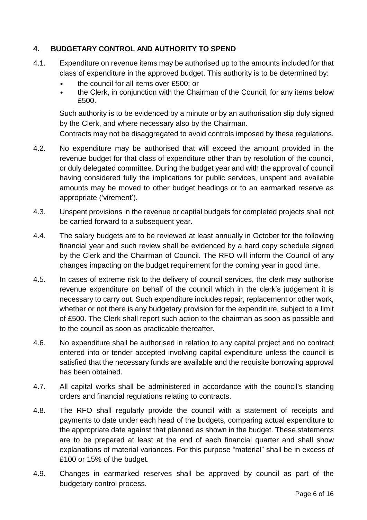#### **4. BUDGETARY CONTROL AND AUTHORITY TO SPEND**

- 4.1. Expenditure on revenue items may be authorised up to the amounts included for that class of expenditure in the approved budget. This authority is to be determined by:
	- the council for all items over £500; or
	- the Clerk, in conjunction with the Chairman of the Council, for any items below £500.

Such authority is to be evidenced by a minute or by an authorisation slip duly signed by the Clerk, and where necessary also by the Chairman.

Contracts may not be disaggregated to avoid controls imposed by these regulations.

- 4.2. No expenditure may be authorised that will exceed the amount provided in the revenue budget for that class of expenditure other than by resolution of the council, or duly delegated committee. During the budget year and with the approval of council having considered fully the implications for public services, unspent and available amounts may be moved to other budget headings or to an earmarked reserve as appropriate ('virement').
- 4.3. Unspent provisions in the revenue or capital budgets for completed projects shall not be carried forward to a subsequent year.
- 4.4. The salary budgets are to be reviewed at least annually in October for the following financial year and such review shall be evidenced by a hard copy schedule signed by the Clerk and the Chairman of Council. The RFO will inform the Council of any changes impacting on the budget requirement for the coming year in good time.
- 4.5. In cases of extreme risk to the delivery of council services, the clerk may authorise revenue expenditure on behalf of the council which in the clerk's judgement it is necessary to carry out. Such expenditure includes repair, replacement or other work, whether or not there is any budgetary provision for the expenditure, subject to a limit of £500. The Clerk shall report such action to the chairman as soon as possible and to the council as soon as practicable thereafter.
- 4.6. No expenditure shall be authorised in relation to any capital project and no contract entered into or tender accepted involving capital expenditure unless the council is satisfied that the necessary funds are available and the requisite borrowing approval has been obtained.
- 4.7. All capital works shall be administered in accordance with the council's standing orders and financial regulations relating to contracts.
- 4.8. The RFO shall regularly provide the council with a statement of receipts and payments to date under each head of the budgets, comparing actual expenditure to the appropriate date against that planned as shown in the budget. These statements are to be prepared at least at the end of each financial quarter and shall show explanations of material variances. For this purpose "material" shall be in excess of £100 or 15% of the budget.
- 4.9. Changes in earmarked reserves shall be approved by council as part of the budgetary control process.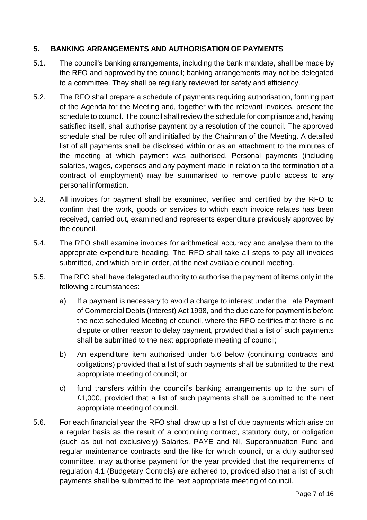#### **5. BANKING ARRANGEMENTS AND AUTHORISATION OF PAYMENTS**

- 5.1. The council's banking arrangements, including the bank mandate, shall be made by the RFO and approved by the council; banking arrangements may not be delegated to a committee. They shall be regularly reviewed for safety and efficiency.
- 5.2. The RFO shall prepare a schedule of payments requiring authorisation, forming part of the Agenda for the Meeting and, together with the relevant invoices, present the schedule to council. The council shall review the schedule for compliance and, having satisfied itself, shall authorise payment by a resolution of the council. The approved schedule shall be ruled off and initialled by the Chairman of the Meeting. A detailed list of all payments shall be disclosed within or as an attachment to the minutes of the meeting at which payment was authorised. Personal payments (including salaries, wages, expenses and any payment made in relation to the termination of a contract of employment) may be summarised to remove public access to any personal information.
- 5.3. All invoices for payment shall be examined, verified and certified by the RFO to confirm that the work, goods or services to which each invoice relates has been received, carried out, examined and represents expenditure previously approved by the council.
- 5.4. The RFO shall examine invoices for arithmetical accuracy and analyse them to the appropriate expenditure heading. The RFO shall take all steps to pay all invoices submitted, and which are in order, at the next available council meeting.
- 5.5. The RFO shall have delegated authority to authorise the payment of items only in the following circumstances:
	- a) If a payment is necessary to avoid a charge to interest under the Late Payment of Commercial Debts (Interest) Act 1998, and the due date for payment is before the next scheduled Meeting of council, where the RFO certifies that there is no dispute or other reason to delay payment, provided that a list of such payments shall be submitted to the next appropriate meeting of council;
	- b) An expenditure item authorised under 5.6 below (continuing contracts and obligations) provided that a list of such payments shall be submitted to the next appropriate meeting of council; or
	- c) fund transfers within the council's banking arrangements up to the sum of £1,000, provided that a list of such payments shall be submitted to the next appropriate meeting of council.
- 5.6. For each financial year the RFO shall draw up a list of due payments which arise on a regular basis as the result of a continuing contract, statutory duty, or obligation (such as but not exclusively) Salaries, PAYE and NI, Superannuation Fund and regular maintenance contracts and the like for which council, or a duly authorised committee, may authorise payment for the year provided that the requirements of regulation 4.1 (Budgetary Controls) are adhered to, provided also that a list of such payments shall be submitted to the next appropriate meeting of council.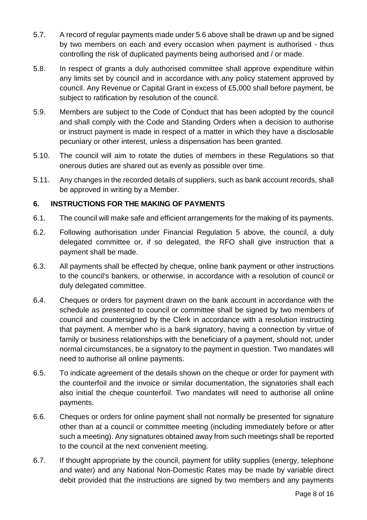- 5.7. A record of regular payments made under 5.6 above shall be drawn up and be signed by two members on each and every occasion when payment is authorised - thus controlling the risk of duplicated payments being authorised and / or made.
- 5.8. In respect of grants a duly authorised committee shall approve expenditure within any limits set by council and in accordance with any policy statement approved by council. Any Revenue or Capital Grant in excess of £5,000 shall before payment, be subject to ratification by resolution of the council.
- 5.9. Members are subject to the Code of Conduct that has been adopted by the council and shall comply with the Code and Standing Orders when a decision to authorise or instruct payment is made in respect of a matter in which they have a disclosable pecuniary or other interest, unless a dispensation has been granted.
- 5.10. The council will aim to rotate the duties of members in these Regulations so that onerous duties are shared out as evenly as possible over time.
- 5.11. Any changes in the recorded details of suppliers, such as bank account records, shall be approved in writing by a Member.

#### **6. INSTRUCTIONS FOR THE MAKING OF PAYMENTS**

- 6.1. The council will make safe and efficient arrangements for the making of its payments.
- 6.2. Following authorisation under Financial Regulation 5 above, the council, a duly delegated committee or, if so delegated, the RFO shall give instruction that a payment shall be made.
- 6.3. All payments shall be effected by cheque, online bank payment or other instructions to the council's bankers, or otherwise, in accordance with a resolution of council or duly delegated committee.
- 6.4. Cheques or orders for payment drawn on the bank account in accordance with the schedule as presented to council or committee shall be signed by two members of council and countersigned by the Clerk in accordance with a resolution instructing that payment. A member who is a bank signatory, having a connection by virtue of family or business relationships with the beneficiary of a payment, should not, under normal circumstances, be a signatory to the payment in question. Two mandates will need to authorise all online payments.
- 6.5. To indicate agreement of the details shown on the cheque or order for payment with the counterfoil and the invoice or similar documentation, the signatories shall each also initial the cheque counterfoil. Two mandates will need to authorise all online payments.
- 6.6. Cheques or orders for online payment shall not normally be presented for signature other than at a council or committee meeting (including immediately before or after such a meeting). Any signatures obtained away from such meetings shall be reported to the council at the next convenient meeting.
- 6.7. If thought appropriate by the council, payment for utility supplies (energy, telephone and water) and any National Non-Domestic Rates may be made by variable direct debit provided that the instructions are signed by two members and any payments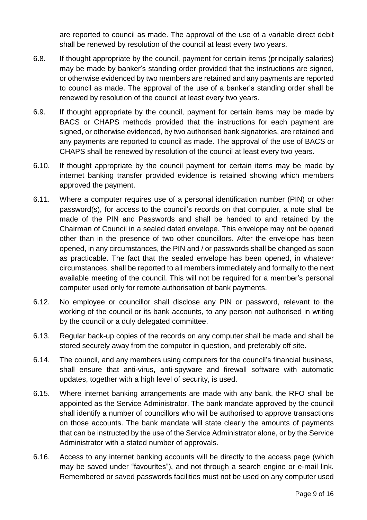are reported to council as made. The approval of the use of a variable direct debit shall be renewed by resolution of the council at least every two years.

- 6.8. If thought appropriate by the council, payment for certain items (principally salaries) may be made by banker's standing order provided that the instructions are signed, or otherwise evidenced by two members are retained and any payments are reported to council as made. The approval of the use of a banker's standing order shall be renewed by resolution of the council at least every two years.
- 6.9. If thought appropriate by the council, payment for certain items may be made by BACS or CHAPS methods provided that the instructions for each payment are signed, or otherwise evidenced, by two authorised bank signatories, are retained and any payments are reported to council as made. The approval of the use of BACS or CHAPS shall be renewed by resolution of the council at least every two years.
- 6.10. If thought appropriate by the council payment for certain items may be made by internet banking transfer provided evidence is retained showing which members approved the payment.
- 6.11. Where a computer requires use of a personal identification number (PIN) or other password(s), for access to the council's records on that computer, a note shall be made of the PIN and Passwords and shall be handed to and retained by the Chairman of Council in a sealed dated envelope. This envelope may not be opened other than in the presence of two other councillors. After the envelope has been opened, in any circumstances, the PIN and / or passwords shall be changed as soon as practicable. The fact that the sealed envelope has been opened, in whatever circumstances, shall be reported to all members immediately and formally to the next available meeting of the council. This will not be required for a member's personal computer used only for remote authorisation of bank payments.
- 6.12. No employee or councillor shall disclose any PIN or password, relevant to the working of the council or its bank accounts, to any person not authorised in writing by the council or a duly delegated committee.
- 6.13. Regular back-up copies of the records on any computer shall be made and shall be stored securely away from the computer in question, and preferably off site.
- 6.14. The council, and any members using computers for the council's financial business, shall ensure that anti-virus, anti-spyware and firewall software with automatic updates, together with a high level of security, is used.
- 6.15. Where internet banking arrangements are made with any bank, the RFO shall be appointed as the Service Administrator. The bank mandate approved by the council shall identify a number of councillors who will be authorised to approve transactions on those accounts. The bank mandate will state clearly the amounts of payments that can be instructed by the use of the Service Administrator alone, or by the Service Administrator with a stated number of approvals.
- 6.16. Access to any internet banking accounts will be directly to the access page (which may be saved under "favourites"), and not through a search engine or e-mail link. Remembered or saved passwords facilities must not be used on any computer used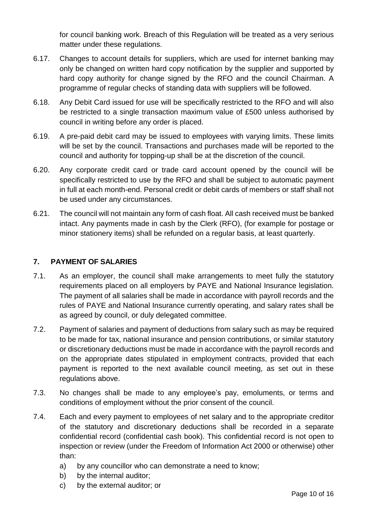for council banking work. Breach of this Regulation will be treated as a very serious matter under these regulations.

- 6.17. Changes to account details for suppliers, which are used for internet banking may only be changed on written hard copy notification by the supplier and supported by hard copy authority for change signed by the RFO and the council Chairman. A programme of regular checks of standing data with suppliers will be followed.
- 6.18. Any Debit Card issued for use will be specifically restricted to the RFO and will also be restricted to a single transaction maximum value of £500 unless authorised by council in writing before any order is placed.
- 6.19. A pre-paid debit card may be issued to employees with varying limits. These limits will be set by the council. Transactions and purchases made will be reported to the council and authority for topping-up shall be at the discretion of the council.
- 6.20. Any corporate credit card or trade card account opened by the council will be specifically restricted to use by the RFO and shall be subject to automatic payment in full at each month-end. Personal credit or debit cards of members or staff shall not be used under any circumstances.
- 6.21. The council will not maintain any form of cash float. All cash received must be banked intact. Any payments made in cash by the Clerk (RFO), (for example for postage or minor stationery items) shall be refunded on a regular basis, at least quarterly.

# **7. PAYMENT OF SALARIES**

- 7.1. As an employer, the council shall make arrangements to meet fully the statutory requirements placed on all employers by PAYE and National Insurance legislation. The payment of all salaries shall be made in accordance with payroll records and the rules of PAYE and National Insurance currently operating, and salary rates shall be as agreed by council, or duly delegated committee.
- 7.2. Payment of salaries and payment of deductions from salary such as may be required to be made for tax, national insurance and pension contributions, or similar statutory or discretionary deductions must be made in accordance with the payroll records and on the appropriate dates stipulated in employment contracts, provided that each payment is reported to the next available council meeting, as set out in these regulations above.
- 7.3. No changes shall be made to any employee's pay, emoluments, or terms and conditions of employment without the prior consent of the council.
- 7.4. Each and every payment to employees of net salary and to the appropriate creditor of the statutory and discretionary deductions shall be recorded in a separate confidential record (confidential cash book). This confidential record is not open to inspection or review (under the Freedom of Information Act 2000 or otherwise) other than:
	- a) by any councillor who can demonstrate a need to know;
	- b) by the internal auditor;
	- c) by the external auditor; or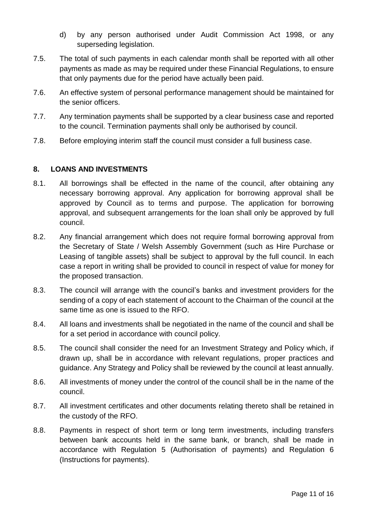- d) by any person authorised under Audit Commission Act 1998, or any superseding legislation.
- 7.5. The total of such payments in each calendar month shall be reported with all other payments as made as may be required under these Financial Regulations, to ensure that only payments due for the period have actually been paid.
- 7.6. An effective system of personal performance management should be maintained for the senior officers.
- 7.7. Any termination payments shall be supported by a clear business case and reported to the council. Termination payments shall only be authorised by council.
- 7.8. Before employing interim staff the council must consider a full business case.

# **8. LOANS AND INVESTMENTS**

- 8.1. All borrowings shall be effected in the name of the council, after obtaining any necessary borrowing approval. Any application for borrowing approval shall be approved by Council as to terms and purpose. The application for borrowing approval, and subsequent arrangements for the loan shall only be approved by full council.
- 8.2. Any financial arrangement which does not require formal borrowing approval from the Secretary of State / Welsh Assembly Government (such as Hire Purchase or Leasing of tangible assets) shall be subject to approval by the full council. In each case a report in writing shall be provided to council in respect of value for money for the proposed transaction.
- 8.3. The council will arrange with the council's banks and investment providers for the sending of a copy of each statement of account to the Chairman of the council at the same time as one is issued to the RFO.
- 8.4. All loans and investments shall be negotiated in the name of the council and shall be for a set period in accordance with council policy.
- 8.5. The council shall consider the need for an Investment Strategy and Policy which, if drawn up, shall be in accordance with relevant regulations, proper practices and guidance. Any Strategy and Policy shall be reviewed by the council at least annually.
- 8.6. All investments of money under the control of the council shall be in the name of the council.
- 8.7. All investment certificates and other documents relating thereto shall be retained in the custody of the RFO.
- 8.8. Payments in respect of short term or long term investments, including transfers between bank accounts held in the same bank, or branch, shall be made in accordance with Regulation 5 (Authorisation of payments) and Regulation 6 (Instructions for payments).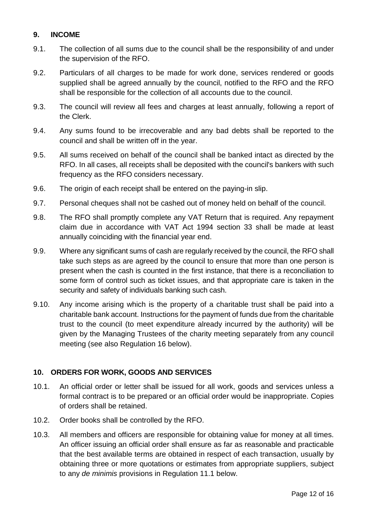#### **9. INCOME**

- 9.1. The collection of all sums due to the council shall be the responsibility of and under the supervision of the RFO.
- 9.2. Particulars of all charges to be made for work done, services rendered or goods supplied shall be agreed annually by the council, notified to the RFO and the RFO shall be responsible for the collection of all accounts due to the council.
- 9.3. The council will review all fees and charges at least annually, following a report of the Clerk.
- 9.4. Any sums found to be irrecoverable and any bad debts shall be reported to the council and shall be written off in the year.
- 9.5. All sums received on behalf of the council shall be banked intact as directed by the RFO. In all cases, all receipts shall be deposited with the council's bankers with such frequency as the RFO considers necessary.
- 9.6. The origin of each receipt shall be entered on the paying-in slip.
- 9.7. Personal cheques shall not be cashed out of money held on behalf of the council.
- 9.8. The RFO shall promptly complete any VAT Return that is required. Any repayment claim due in accordance with VAT Act 1994 section 33 shall be made at least annually coinciding with the financial year end.
- 9.9. Where any significant sums of cash are regularly received by the council, the RFO shall take such steps as are agreed by the council to ensure that more than one person is present when the cash is counted in the first instance, that there is a reconciliation to some form of control such as ticket issues, and that appropriate care is taken in the security and safety of individuals banking such cash.
- 9.10. Any income arising which is the property of a charitable trust shall be paid into a charitable bank account. Instructions for the payment of funds due from the charitable trust to the council (to meet expenditure already incurred by the authority) will be given by the Managing Trustees of the charity meeting separately from any council meeting (see also Regulation 16 below).

#### **10. ORDERS FOR WORK, GOODS AND SERVICES**

- 10.1. An official order or letter shall be issued for all work, goods and services unless a formal contract is to be prepared or an official order would be inappropriate. Copies of orders shall be retained.
- 10.2. Order books shall be controlled by the RFO.
- 10.3. All members and officers are responsible for obtaining value for money at all times. An officer issuing an official order shall ensure as far as reasonable and practicable that the best available terms are obtained in respect of each transaction, usually by obtaining three or more quotations or estimates from appropriate suppliers, subject to any *de minimis* provisions in Regulation 11.1 below.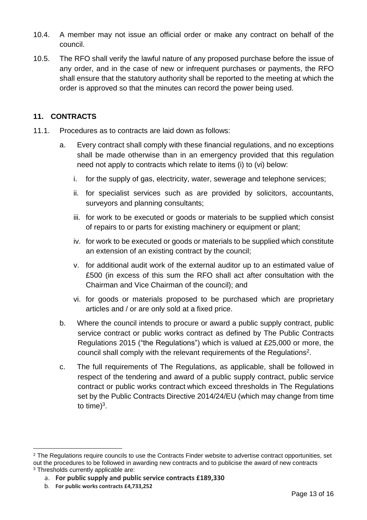- 10.4. A member may not issue an official order or make any contract on behalf of the council.
- 10.5. The RFO shall verify the lawful nature of any proposed purchase before the issue of any order, and in the case of new or infrequent purchases or payments, the RFO shall ensure that the statutory authority shall be reported to the meeting at which the order is approved so that the minutes can record the power being used.

# **11. CONTRACTS**

- 11.1. Procedures as to contracts are laid down as follows:
	- a. Every contract shall comply with these financial regulations, and no exceptions shall be made otherwise than in an emergency provided that this regulation need not apply to contracts which relate to items (i) to (vi) below:
		- i. for the supply of gas, electricity, water, sewerage and telephone services;
		- ii. for specialist services such as are provided by solicitors, accountants, surveyors and planning consultants;
		- iii. for work to be executed or goods or materials to be supplied which consist of repairs to or parts for existing machinery or equipment or plant;
		- iv. for work to be executed or goods or materials to be supplied which constitute an extension of an existing contract by the council;
		- v. for additional audit work of the external auditor up to an estimated value of £500 (in excess of this sum the RFO shall act after consultation with the Chairman and Vice Chairman of the council); and
		- vi. for goods or materials proposed to be purchased which are proprietary articles and / or are only sold at a fixed price.
	- b. Where the council intends to procure or award a public supply contract, public service contract or public works contract as defined by The Public Contracts Regulations 2015 ("the Regulations") which is valued at £25,000 or more, the council shall comply with the relevant requirements of the Regulations<sup>2</sup>.
	- c. The full requirements of The Regulations, as applicable, shall be followed in respect of the tendering and award of a public supply contract, public service contract or public works contract which exceed thresholds in The Regulations set by the Public Contracts Directive 2014/24/EU (which may change from time to time) $3$ .

 $\overline{a}$ <sup>2</sup> The Regulations require councils to use the Contracts Finder website to advertise contract opportunities, set out the procedures to be followed in awarding new contracts and to publicise the award of new contracts <sup>3</sup> Thresholds currently applicable are:

a. **For public supply and public service contracts £189,330**

b. **For public works contracts £4,733,252**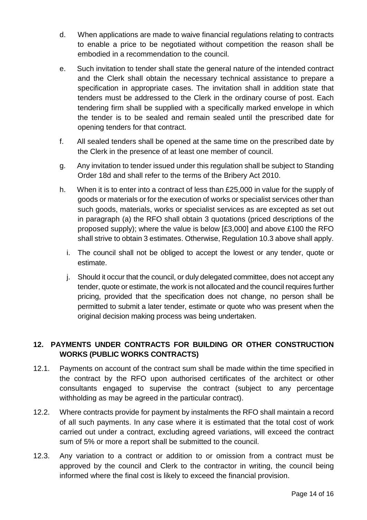- d. When applications are made to waive financial regulations relating to contracts to enable a price to be negotiated without competition the reason shall be embodied in a recommendation to the council.
- e. Such invitation to tender shall state the general nature of the intended contract and the Clerk shall obtain the necessary technical assistance to prepare a specification in appropriate cases. The invitation shall in addition state that tenders must be addressed to the Clerk in the ordinary course of post. Each tendering firm shall be supplied with a specifically marked envelope in which the tender is to be sealed and remain sealed until the prescribed date for opening tenders for that contract.
- f. All sealed tenders shall be opened at the same time on the prescribed date by the Clerk in the presence of at least one member of council.
- g. Any invitation to tender issued under this regulation shall be subject to Standing Order 18d and shall refer to the terms of the Bribery Act 2010.
- h. When it is to enter into a contract of less than £25,000 in value for the supply of goods or materials or for the execution of works or specialist services other than such goods, materials, works or specialist services as are excepted as set out in paragraph (a) the RFO shall obtain 3 quotations (priced descriptions of the proposed supply); where the value is below [£3,000] and above £100 the RFO shall strive to obtain 3 estimates. Otherwise, Regulation 10.3 above shall apply.
	- i. The council shall not be obliged to accept the lowest or any tender, quote or estimate.
	- j. Should it occur that the council, or duly delegated committee, does not accept any tender, quote or estimate, the work is not allocated and the council requires further pricing, provided that the specification does not change, no person shall be permitted to submit a later tender, estimate or quote who was present when the original decision making process was being undertaken.

# **12. PAYMENTS UNDER CONTRACTS FOR BUILDING OR OTHER CONSTRUCTION WORKS (PUBLIC WORKS CONTRACTS)**

- 12.1. Payments on account of the contract sum shall be made within the time specified in the contract by the RFO upon authorised certificates of the architect or other consultants engaged to supervise the contract (subject to any percentage withholding as may be agreed in the particular contract).
- 12.2. Where contracts provide for payment by instalments the RFO shall maintain a record of all such payments. In any case where it is estimated that the total cost of work carried out under a contract, excluding agreed variations, will exceed the contract sum of 5% or more a report shall be submitted to the council.
- 12.3. Any variation to a contract or addition to or omission from a contract must be approved by the council and Clerk to the contractor in writing, the council being informed where the final cost is likely to exceed the financial provision.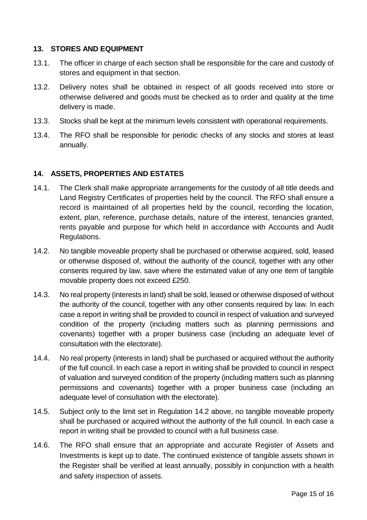#### **13. STORES AND EQUIPMENT**

- 13.1. The officer in charge of each section shall be responsible for the care and custody of stores and equipment in that section.
- 13.2. Delivery notes shall be obtained in respect of all goods received into store or otherwise delivered and goods must be checked as to order and quality at the time delivery is made.
- 13.3. Stocks shall be kept at the minimum levels consistent with operational requirements.
- 13.4. The RFO shall be responsible for periodic checks of any stocks and stores at least annually.

#### **14. ASSETS, PROPERTIES AND ESTATES**

- 14.1. The Clerk shall make appropriate arrangements for the custody of all title deeds and Land Registry Certificates of properties held by the council. The RFO shall ensure a record is maintained of all properties held by the council, recording the location, extent, plan, reference, purchase details, nature of the interest, tenancies granted, rents payable and purpose for which held in accordance with Accounts and Audit Regulations.
- 14.2. No tangible moveable property shall be purchased or otherwise acquired, sold, leased or otherwise disposed of, without the authority of the council, together with any other consents required by law, save where the estimated value of any one item of tangible movable property does not exceed £250.
- 14.3. No real property (interests in land) shall be sold, leased or otherwise disposed of without the authority of the council, together with any other consents required by law. In each case a report in writing shall be provided to council in respect of valuation and surveyed condition of the property (including matters such as planning permissions and covenants) together with a proper business case (including an adequate level of consultation with the electorate).
- 14.4. No real property (interests in land) shall be purchased or acquired without the authority of the full council. In each case a report in writing shall be provided to council in respect of valuation and surveyed condition of the property (including matters such as planning permissions and covenants) together with a proper business case (including an adequate level of consultation with the electorate).
- 14.5. Subject only to the limit set in Regulation 14.2 above, no tangible moveable property shall be purchased or acquired without the authority of the full council. In each case a report in writing shall be provided to council with a full business case.
- 14.6. The RFO shall ensure that an appropriate and accurate Register of Assets and Investments is kept up to date. The continued existence of tangible assets shown in the Register shall be verified at least annually, possibly in conjunction with a health and safety inspection of assets.